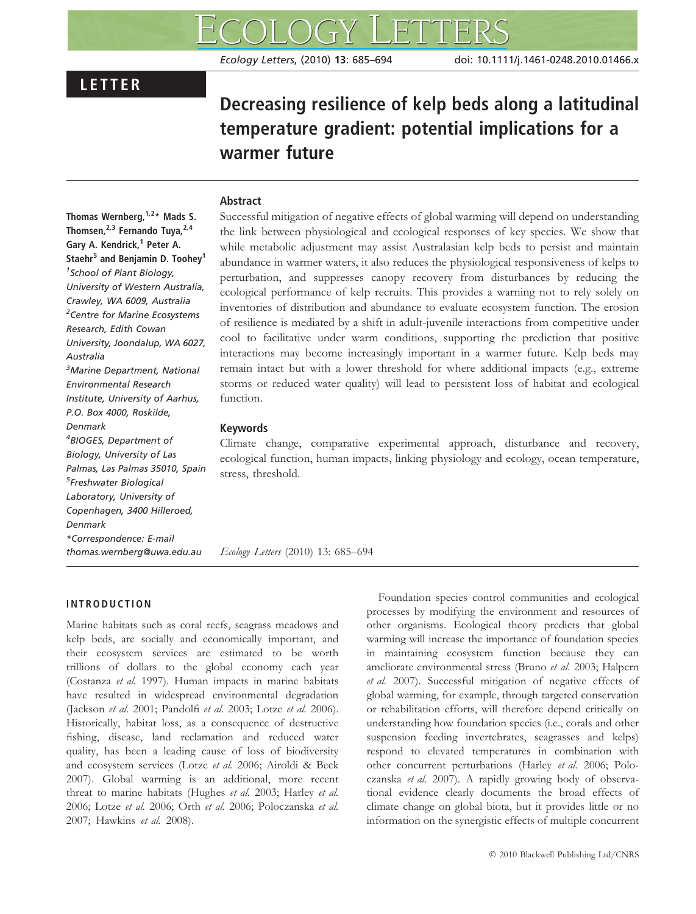# LETTER

# Decreasing resilience of kelp beds along a latitudinal temperature gradient: potential implications for a warmer future

#### Abstract

Thomas Wernberg,  $1.2*$  Mads S. Thomsen, $^{2,3}$  Fernando Tuya, $^{2,4}$ Gary A. Kendrick,<sup>1</sup> Peter A. Staehr<sup>5</sup> and Benjamin D. Toohey<sup>1</sup> <sup>1</sup> School of Plant Biology, University of Western Australia, Crawley, WA 6009, Australia <sup>2</sup>Centre for Marine Ecosystems Research, Edith Cowan University, Joondalup, WA 6027, Australia <sup>3</sup>Marine Department, National Environmental Research Institute, University of Aarhus, P.O. Box 4000, Roskilde, Denmark 4 BIOGES, Department of Biology, University of Las Palmas, Las Palmas 35010, Spain 5 Freshwater Biological Laboratory, University of Copenhagen, 3400 Hilleroed, Denmark \*Correspondence: E-mail thomas.wernberg@uwa.edu.au

Successful mitigation of negative effects of global warming will depend on understanding the link between physiological and ecological responses of key species. We show that while metabolic adjustment may assist Australasian kelp beds to persist and maintain abundance in warmer waters, it also reduces the physiological responsiveness of kelps to perturbation, and suppresses canopy recovery from disturbances by reducing the ecological performance of kelp recruits. This provides a warning not to rely solely on inventories of distribution and abundance to evaluate ecosystem function. The erosion of resilience is mediated by a shift in adult-juvenile interactions from competitive under cool to facilitative under warm conditions, supporting the prediction that positive interactions may become increasingly important in a warmer future. Kelp beds may remain intact but with a lower threshold for where additional impacts (e.g., extreme storms or reduced water quality) will lead to persistent loss of habitat and ecological function.

#### Keywords

Climate change, comparative experimental approach, disturbance and recovery, ecological function, human impacts, linking physiology and ecology, ocean temperature, stress, threshold.

Ecology Letters (2010) 13: 685–694

# INTRODUCTION

Marine habitats such as coral reefs, seagrass meadows and kelp beds, are socially and economically important, and their ecosystem services are estimated to be worth trillions of dollars to the global economy each year (Costanza et al. 1997). Human impacts in marine habitats have resulted in widespread environmental degradation (Jackson et al. 2001; Pandolfi et al. 2003; Lotze et al. 2006). Historically, habitat loss, as a consequence of destructive fishing, disease, land reclamation and reduced water quality, has been a leading cause of loss of biodiversity and ecosystem services (Lotze et al. 2006; Airoldi & Beck 2007). Global warming is an additional, more recent threat to marine habitats (Hughes et al. 2003; Harley et al. 2006; Lotze et al. 2006; Orth et al. 2006; Poloczanska et al. 2007; Hawkins et al. 2008).

Foundation species control communities and ecological processes by modifying the environment and resources of other organisms. Ecological theory predicts that global warming will increase the importance of foundation species in maintaining ecosystem function because they can ameliorate environmental stress (Bruno et al. 2003; Halpern et al. 2007). Successful mitigation of negative effects of global warming, for example, through targeted conservation or rehabilitation efforts, will therefore depend critically on understanding how foundation species (i.e., corals and other suspension feeding invertebrates, seagrasses and kelps) respond to elevated temperatures in combination with other concurrent perturbations (Harley et al. 2006; Poloczanska et al. 2007). A rapidly growing body of observational evidence clearly documents the broad effects of climate change on global biota, but it provides little or no information on the synergistic effects of multiple concurrent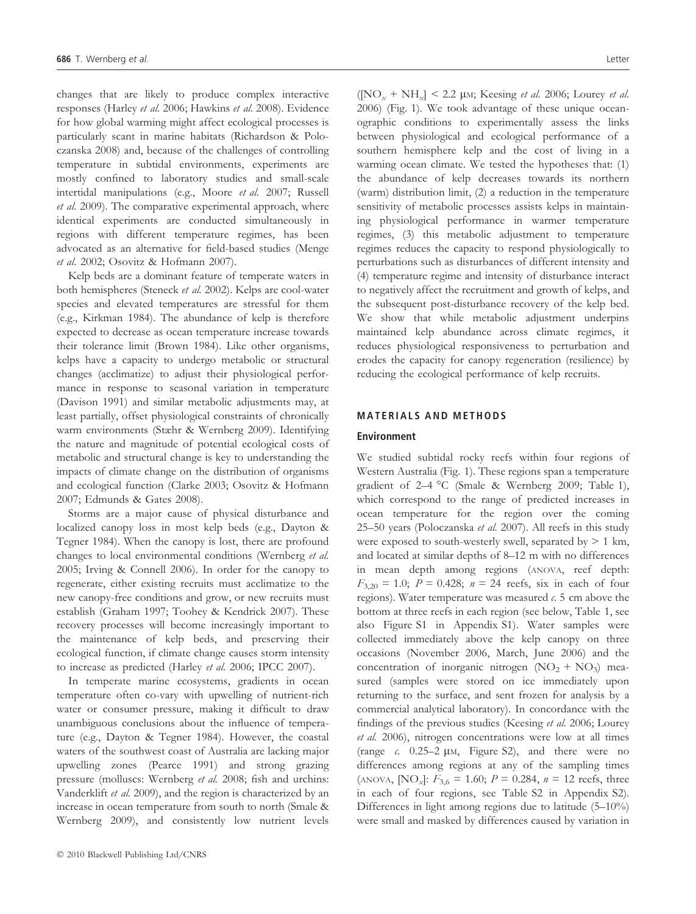changes that are likely to produce complex interactive responses (Harley et al. 2006; Hawkins et al. 2008). Evidence for how global warming might affect ecological processes is particularly scant in marine habitats (Richardson & Poloczanska 2008) and, because of the challenges of controlling temperature in subtidal environments, experiments are mostly confined to laboratory studies and small-scale intertidal manipulations (e.g., Moore et al. 2007; Russell et al. 2009). The comparative experimental approach, where identical experiments are conducted simultaneously in regions with different temperature regimes, has been advocated as an alternative for field-based studies (Menge et al. 2002; Osovitz & Hofmann 2007).

Kelp beds are a dominant feature of temperate waters in both hemispheres (Steneck et al. 2002). Kelps are cool-water species and elevated temperatures are stressful for them (e.g., Kirkman 1984). The abundance of kelp is therefore expected to decrease as ocean temperature increase towards their tolerance limit (Brown 1984). Like other organisms, kelps have a capacity to undergo metabolic or structural changes (acclimatize) to adjust their physiological performance in response to seasonal variation in temperature (Davison 1991) and similar metabolic adjustments may, at least partially, offset physiological constraints of chronically warm environments (Stæhr & Wernberg 2009). Identifying the nature and magnitude of potential ecological costs of metabolic and structural change is key to understanding the impacts of climate change on the distribution of organisms and ecological function (Clarke 2003; Osovitz & Hofmann 2007; Edmunds & Gates 2008).

Storms are a major cause of physical disturbance and localized canopy loss in most kelp beds (e.g., Dayton & Tegner 1984). When the canopy is lost, there are profound changes to local environmental conditions (Wernberg et al. 2005; Irving & Connell 2006). In order for the canopy to regenerate, either existing recruits must acclimatize to the new canopy-free conditions and grow, or new recruits must establish (Graham 1997; Toohey & Kendrick 2007). These recovery processes will become increasingly important to the maintenance of kelp beds, and preserving their ecological function, if climate change causes storm intensity to increase as predicted (Harley et al. 2006; IPCC 2007).

In temperate marine ecosystems, gradients in ocean temperature often co-vary with upwelling of nutrient-rich water or consumer pressure, making it difficult to draw unambiguous conclusions about the influence of temperature (e.g., Dayton & Tegner 1984). However, the coastal waters of the southwest coast of Australia are lacking major upwelling zones (Pearce 1991) and strong grazing pressure (molluscs: Wernberg et al. 2008; fish and urchins: Vanderklift et al. 2009), and the region is characterized by an increase in ocean temperature from south to north (Smale & Wernberg 2009), and consistently low nutrient levels  $(NO_x + NH_x]$  < 2.2 µm; Keesing *et al.* 2006; Lourey *et al.* 2006) (Fig. 1). We took advantage of these unique oceanographic conditions to experimentally assess the links between physiological and ecological performance of a southern hemisphere kelp and the cost of living in a warming ocean climate. We tested the hypotheses that: (1) the abundance of kelp decreases towards its northern (warm) distribution limit, (2) a reduction in the temperature sensitivity of metabolic processes assists kelps in maintaining physiological performance in warmer temperature regimes, (3) this metabolic adjustment to temperature regimes reduces the capacity to respond physiologically to perturbations such as disturbances of different intensity and (4) temperature regime and intensity of disturbance interact to negatively affect the recruitment and growth of kelps, and the subsequent post-disturbance recovery of the kelp bed. We show that while metabolic adjustment underpins maintained kelp abundance across climate regimes, it reduces physiological responsiveness to perturbation and erodes the capacity for canopy regeneration (resilience) by reducing the ecological performance of kelp recruits.

# MATERIALS AND METHODS

#### Environment

We studied subtidal rocky reefs within four regions of Western Australia (Fig. 1). These regions span a temperature gradient of 2–4 °C (Smale & Wernberg 2009; Table 1), which correspond to the range of predicted increases in ocean temperature for the region over the coming 25–50 years (Poloczanska et al. 2007). All reefs in this study were exposed to south-westerly swell, separated by  $> 1$  km, and located at similar depths of 8–12 m with no differences in mean depth among regions (ANOVA, reef depth:  $F_{3,20} = 1.0$ ;  $P = 0.428$ ;  $n = 24$  reefs, six in each of four regions). Water temperature was measured  $c$ . 5 cm above the bottom at three reefs in each region (see below, Table 1, see also Figure S1 in Appendix S1). Water samples were collected immediately above the kelp canopy on three occasions (November 2006, March, June 2006) and the concentration of inorganic nitrogen  $(NO<sub>2</sub> + NO<sub>3</sub>)$  measured (samples were stored on ice immediately upon returning to the surface, and sent frozen for analysis by a commercial analytical laboratory). In concordance with the findings of the previous studies (Keesing et al. 2006; Lourey et al. 2006), nitrogen concentrations were low at all times (range c.  $0.25-2 \mu M$ , Figure S2), and there were no differences among regions at any of the sampling times (ANOVA,  $[NO_x]$ :  $F_{3,6} = 1.60$ ;  $P = 0.284$ ,  $n = 12$  reefs, three in each of four regions, see Table S2 in Appendix S2). Differences in light among regions due to latitude (5–10%) were small and masked by differences caused by variation in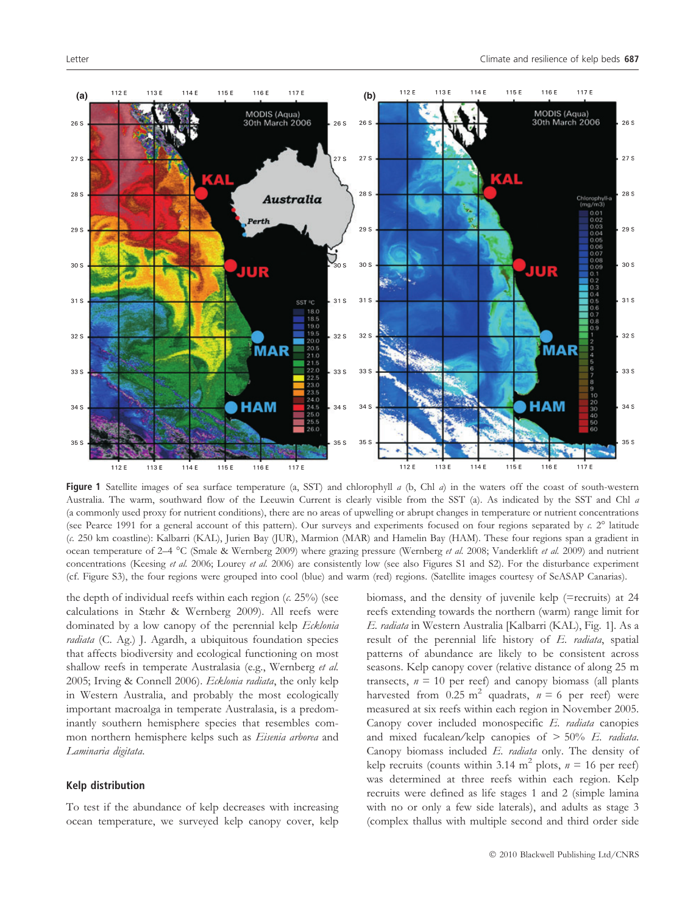

Figure 1 Satellite images of sea surface temperature (a, SST) and chlorophyll  $a$  (b, Chl  $a$ ) in the waters off the coast of south-western Australia. The warm, southward flow of the Leeuwin Current is clearly visible from the SST (a). As indicated by the SST and Chl a (a commonly used proxy for nutrient conditions), there are no areas of upwelling or abrupt changes in temperature or nutrient concentrations (see Pearce 1991 for a general account of this pattern). Our surveys and experiments focused on four regions separated by  $c$ . 2° latitude (c. 250 km coastline): Kalbarri (KAL), Jurien Bay (JUR), Marmion (MAR) and Hamelin Bay (HAM). These four regions span a gradient in ocean temperature of 2–4 °C (Smale & Wernberg 2009) where grazing pressure (Wernberg et al. 2008; Vanderklift et al. 2009) and nutrient concentrations (Keesing et al. 2006; Lourey et al. 2006) are consistently low (see also Figures S1 and S2). For the disturbance experiment (cf. Figure S3), the four regions were grouped into cool (blue) and warm (red) regions. (Satellite images courtesy of SeASAP Canarias).

the depth of individual reefs within each region  $(c. 25%)$  (see calculations in Stæhr & Wernberg 2009). All reefs were dominated by a low canopy of the perennial kelp Ecklonia radiata (C. Ag.) J. Agardh, a ubiquitous foundation species that affects biodiversity and ecological functioning on most shallow reefs in temperate Australasia (e.g., Wernberg et al. 2005; Irving & Connell 2006). Ecklonia radiata, the only kelp in Western Australia, and probably the most ecologically important macroalga in temperate Australasia, is a predominantly southern hemisphere species that resembles common northern hemisphere kelps such as Eisenia arborea and Laminaria digitata.

#### Kelp distribution

To test if the abundance of kelp decreases with increasing ocean temperature, we surveyed kelp canopy cover, kelp biomass, and the density of juvenile kelp (=recruits) at 24 reefs extending towards the northern (warm) range limit for E. radiata in Western Australia [Kalbarri (KAL), Fig. 1]. As a result of the perennial life history of E. radiata, spatial patterns of abundance are likely to be consistent across seasons. Kelp canopy cover (relative distance of along 25 m transects,  $n = 10$  per reef) and canopy biomass (all plants harvested from 0.25 m<sup>2</sup> quadrats,  $n = 6$  per reef) were measured at six reefs within each region in November 2005. Canopy cover included monospecific E. radiata canopies and mixed fucalean/kelp canopies of  $> 50\%$  E. radiata. Canopy biomass included E. radiata only. The density of kelp recruits (counts within 3.14 m<sup>2</sup> plots,  $n = 16$  per reef) was determined at three reefs within each region. Kelp recruits were defined as life stages 1 and 2 (simple lamina with no or only a few side laterals), and adults as stage 3 (complex thallus with multiple second and third order side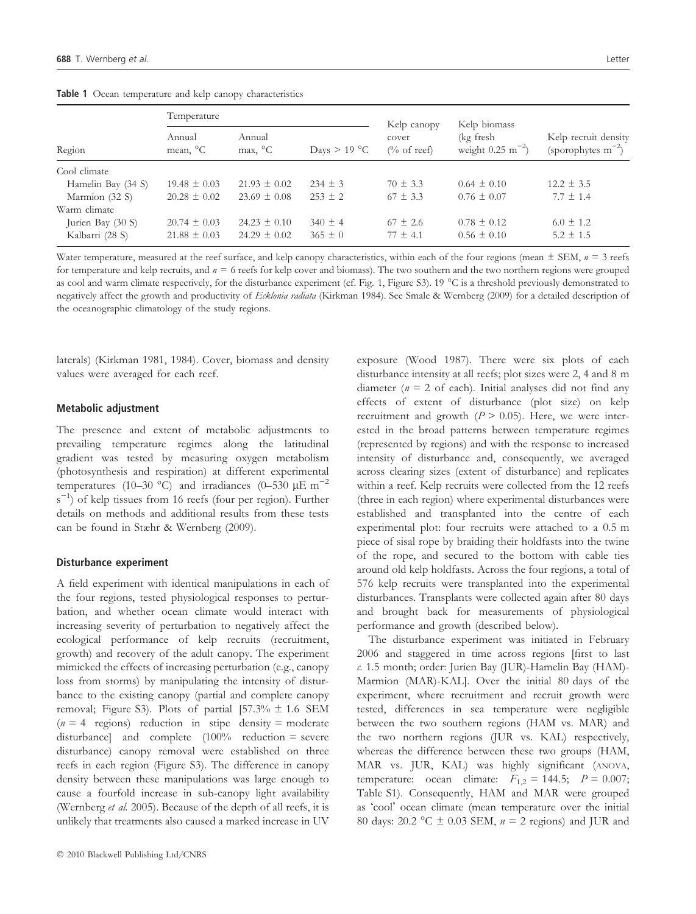| Region             | Temperature                    |                               |                               | Kelp canopy                    | Kelp biomass                                |                                                 |
|--------------------|--------------------------------|-------------------------------|-------------------------------|--------------------------------|---------------------------------------------|-------------------------------------------------|
|                    | Annual<br>mean, <sup>o</sup> C | Annual<br>$max$ , $^{\circ}C$ | $\text{Days} > 19 \text{ °C}$ | cover<br>$\frac{1}{2}$ of reef | (kg fresh<br>weight $0.25 \text{ m}^{-2}$ ) | Kelp recruit density<br>(sporophytes $m^{-2}$ ) |
| Cool climate       |                                |                               |                               |                                |                                             |                                                 |
| Hamelin Bay (34 S) | $19.48 \pm 0.03$               | $21.93 \pm 0.02$              | $234 + 3$                     | $70 \pm 3.3$                   | $0.64 \pm 0.10$                             | $12.2 \pm 3.5$                                  |
| Marmion (32 S)     | $20.28 \pm 0.02$               | $23.69 \pm 0.08$              | $253 + 2$                     | $67 + 3.3$                     | $0.76 \pm 0.07$                             | $7.7 \pm 1.4$                                   |
| Warm climate       |                                |                               |                               |                                |                                             |                                                 |
| Jurien Bay (30 S)  | $20.74 \pm 0.03$               | $24.23 \pm 0.10$              | $340 \pm 4$                   | $67 \pm 2.6$                   | $0.78 \pm 0.12$                             | $6.0 \pm 1.2$                                   |
| Kalbarri (28 S)    | $21.88 \pm 0.03$               | $24.29 \pm 0.02$              | $365 \pm 0$                   | $77 \pm 4.1$                   | $0.56 \pm 0.10$                             | $5.2 \pm 1.5$                                   |

Table 1 Ocean temperature and kelp canopy characteristics

Water temperature, measured at the reef surface, and kelp canopy characteristics, within each of the four regions (mean  $\pm$  SEM,  $n = 3$  reefs for temperature and kelp recruits, and  $n = 6$  reefs for kelp cover and biomass). The two southern and the two northern regions were grouped as cool and warm climate respectively, for the disturbance experiment (cf. Fig. 1, Figure S3). 19 C is a threshold previously demonstrated to negatively affect the growth and productivity of Ecklonia radiata (Kirkman 1984). See Smale & Wernberg (2009) for a detailed description of the oceanographic climatology of the study regions.

laterals) (Kirkman 1981, 1984). Cover, biomass and density values were averaged for each reef.

# Metabolic adjustment

The presence and extent of metabolic adjustments to prevailing temperature regimes along the latitudinal gradient was tested by measuring oxygen metabolism (photosynthesis and respiration) at different experimental temperatures (10–30 °C) and irradiances (0–530  $\mu$ E m<sup>-2</sup> s<sup>-1</sup>) of kelp tissues from 16 reefs (four per region). Further details on methods and additional results from these tests can be found in Stæhr & Wernberg (2009).

# Disturbance experiment

A field experiment with identical manipulations in each of the four regions, tested physiological responses to perturbation, and whether ocean climate would interact with increasing severity of perturbation to negatively affect the ecological performance of kelp recruits (recruitment, growth) and recovery of the adult canopy. The experiment mimicked the effects of increasing perturbation (e.g., canopy loss from storms) by manipulating the intensity of disturbance to the existing canopy (partial and complete canopy removal; Figure S3). Plots of partial  $[57.3\% \pm 1.6 \text{ SEM}]$  $(n = 4$  regions) reduction in stipe density = moderate disturbance] and complete (100% reduction = severe disturbance) canopy removal were established on three reefs in each region (Figure S3). The difference in canopy density between these manipulations was large enough to cause a fourfold increase in sub-canopy light availability (Wernberg et al. 2005). Because of the depth of all reefs, it is unlikely that treatments also caused a marked increase in UV exposure (Wood 1987). There were six plots of each disturbance intensity at all reefs; plot sizes were 2, 4 and 8 m diameter ( $n = 2$  of each). Initial analyses did not find any effects of extent of disturbance (plot size) on kelp recruitment and growth  $(P > 0.05)$ . Here, we were interested in the broad patterns between temperature regimes (represented by regions) and with the response to increased intensity of disturbance and, consequently, we averaged across clearing sizes (extent of disturbance) and replicates within a reef. Kelp recruits were collected from the 12 reefs (three in each region) where experimental disturbances were established and transplanted into the centre of each experimental plot: four recruits were attached to a 0.5 m piece of sisal rope by braiding their holdfasts into the twine of the rope, and secured to the bottom with cable ties around old kelp holdfasts. Across the four regions, a total of 576 kelp recruits were transplanted into the experimental disturbances. Transplants were collected again after 80 days and brought back for measurements of physiological performance and growth (described below).

The disturbance experiment was initiated in February 2006 and staggered in time across regions [first to last c. 1.5 month; order: Jurien Bay (JUR)-Hamelin Bay (HAM)- Marmion (MAR)-KAL]. Over the initial 80 days of the experiment, where recruitment and recruit growth were tested, differences in sea temperature were negligible between the two southern regions (HAM vs. MAR) and the two northern regions (JUR vs. KAL) respectively, whereas the difference between these two groups (HAM, MAR vs. JUR, KAL) was highly significant (ANOVA, temperature: ocean climate:  $F_{1,2} = 144.5$ ;  $P = 0.007$ ; Table S1). Consequently, HAM and MAR were grouped as 'cool' ocean climate (mean temperature over the initial 80 days: 20.2 °C  $\pm$  0.03 SEM,  $n = 2$  regions) and JUR and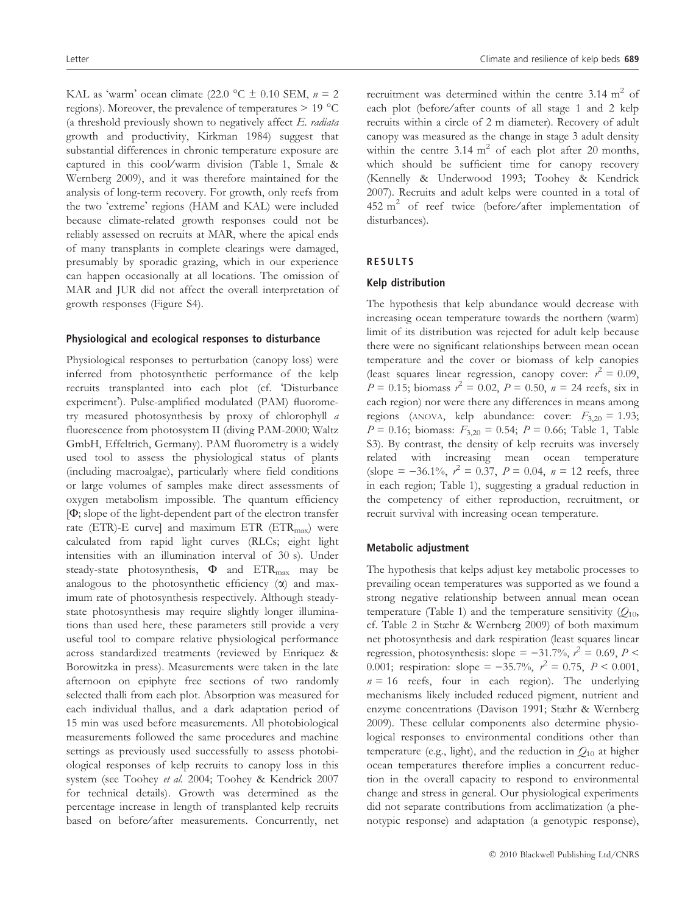KAL as 'warm' ocean climate (22.0 °C  $\pm$  0.10 SEM,  $n = 2$ regions). Moreover, the prevalence of temperatures  $> 19$  °C (a threshold previously shown to negatively affect  $E$ . radiata growth and productivity, Kirkman 1984) suggest that substantial differences in chronic temperature exposure are captured in this cool/warm division (Table 1, Smale & Wernberg 2009), and it was therefore maintained for the analysis of long-term recovery. For growth, only reefs from the two 'extreme' regions (HAM and KAL) were included because climate-related growth responses could not be reliably assessed on recruits at MAR, where the apical ends of many transplants in complete clearings were damaged, presumably by sporadic grazing, which in our experience can happen occasionally at all locations. The omission of MAR and JUR did not affect the overall interpretation of growth responses (Figure S4).

#### Physiological and ecological responses to disturbance

Physiological responses to perturbation (canopy loss) were inferred from photosynthetic performance of the kelp recruits transplanted into each plot (cf. 'Disturbance experiment). Pulse-amplified modulated (PAM) fluorometry measured photosynthesis by proxy of chlorophyll a fluorescence from photosystem II (diving PAM-2000; Waltz GmbH, Effeltrich, Germany). PAM fluorometry is a widely used tool to assess the physiological status of plants (including macroalgae), particularly where field conditions or large volumes of samples make direct assessments of oxygen metabolism impossible. The quantum efficiency  $[\Phi;$  slope of the light-dependent part of the electron transfer rate (ETR)-E curve] and maximum ETR (ETR<sub>max</sub>) were calculated from rapid light curves (RLCs; eight light intensities with an illumination interval of 30 s). Under steady-state photosynthesis,  $\Phi$  and  $ETR_{\text{max}}$  may be analogous to the photosynthetic efficiency  $(\alpha)$  and maximum rate of photosynthesis respectively. Although steadystate photosynthesis may require slightly longer illuminations than used here, these parameters still provide a very useful tool to compare relative physiological performance across standardized treatments (reviewed by Enriquez & Borowitzka in press). Measurements were taken in the late afternoon on epiphyte free sections of two randomly selected thalli from each plot. Absorption was measured for each individual thallus, and a dark adaptation period of 15 min was used before measurements. All photobiological measurements followed the same procedures and machine settings as previously used successfully to assess photobiological responses of kelp recruits to canopy loss in this system (see Toohey et al. 2004; Toohey & Kendrick 2007 for technical details). Growth was determined as the percentage increase in length of transplanted kelp recruits based on before/after measurements. Concurrently, net recruitment was determined within the centre  $3.14 \text{ m}^2$  of each plot (before/after counts of all stage 1 and 2 kelp recruits within a circle of 2 m diameter). Recovery of adult canopy was measured as the change in stage 3 adult density within the centre  $3.14 \text{ m}^2$  of each plot after 20 months, which should be sufficient time for canopy recovery (Kennelly & Underwood 1993; Toohey & Kendrick 2007). Recruits and adult kelps were counted in a total of 452  $m^2$  of reef twice (before/after implementation of disturbances).

#### RESULTS

#### Kelp distribution

The hypothesis that kelp abundance would decrease with increasing ocean temperature towards the northern (warm) limit of its distribution was rejected for adult kelp because there were no significant relationships between mean ocean temperature and the cover or biomass of kelp canopies (least squares linear regression, canopy cover:  $r^2 = 0.09$ ,  $P = 0.15$ ; biomass  $r^2 = 0.02$ ,  $P = 0.50$ ,  $n = 24$  reefs, six in each region) nor were there any differences in means among regions (ANOVA, kelp abundance: cover:  $F_{3,20} = 1.93$ ;  $P = 0.16$ ; biomass:  $F_{3,20} = 0.54$ ;  $P = 0.66$ ; Table 1, Table S3). By contrast, the density of kelp recruits was inversely related with increasing mean ocean temperature (slope =  $-36.1\%$ ,  $r^2 = 0.37$ ,  $P = 0.04$ ,  $n = 12$  reefs, three in each region; Table 1), suggesting a gradual reduction in the competency of either reproduction, recruitment, or recruit survival with increasing ocean temperature.

#### Metabolic adjustment

The hypothesis that kelps adjust key metabolic processes to prevailing ocean temperatures was supported as we found a strong negative relationship between annual mean ocean temperature (Table 1) and the temperature sensitivity  $(Q_{10},$ cf. Table 2 in Stæhr & Wernberg 2009) of both maximum net photosynthesis and dark respiration (least squares linear regression, photosynthesis: slope =  $-31.7\%$ ,  $r^2 = 0.69$ ,  $P <$ 0.001; respiration: slope =  $-35.7\%$ ,  $r^2 = 0.75$ ,  $P < 0.001$ ,  $n = 16$  reefs, four in each region). The underlying mechanisms likely included reduced pigment, nutrient and enzyme concentrations (Davison 1991; Stæhr & Wernberg 2009). These cellular components also determine physiological responses to environmental conditions other than temperature (e.g., light), and the reduction in  $Q_{10}$  at higher ocean temperatures therefore implies a concurrent reduction in the overall capacity to respond to environmental change and stress in general. Our physiological experiments did not separate contributions from acclimatization (a phenotypic response) and adaptation (a genotypic response),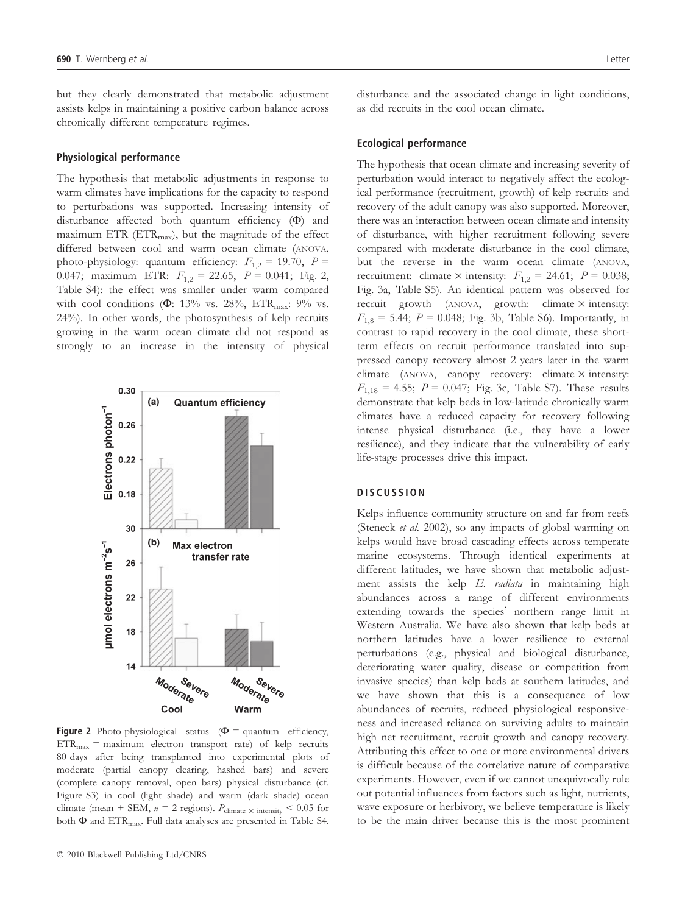but they clearly demonstrated that metabolic adjustment assists kelps in maintaining a positive carbon balance across chronically different temperature regimes.

#### Physiological performance

The hypothesis that metabolic adjustments in response to warm climates have implications for the capacity to respond to perturbations was supported. Increasing intensity of disturbance affected both quantum efficiency  $(\Phi)$  and maximum ETR ( $ETR_{max}$ ), but the magnitude of the effect differed between cool and warm ocean climate (ANOVA, photo-physiology: quantum efficiency:  $F_{1,2} = 19.70$ ,  $P =$ 0.047; maximum ETR:  $F_{1,2} = 22.65$ ,  $P = 0.041$ ; Fig. 2, Table S4): the effect was smaller under warm compared with cool conditions ( $\Phi$ : 13% vs. 28%, ETR<sub>max</sub>: 9% vs. 24%). In other words, the photosynthesis of kelp recruits growing in the warm ocean climate did not respond as strongly to an increase in the intensity of physical



Figure 2 Photo-physiological status ( $\Phi$  = quantum efficiency,  $ETR<sub>max</sub> = maximum electron transport rate) of kelp recursi>$ 80 days after being transplanted into experimental plots of moderate (partial canopy clearing, hashed bars) and severe (complete canopy removal, open bars) physical disturbance (cf. Figure S3) in cool (light shade) and warm (dark shade) ocean climate (mean + SEM,  $n = 2$  regions).  $P_{\text{climate}} \times \text{intensity} < 0.05$  for both  $\Phi$  and ETR<sub>max</sub>. Full data analyses are presented in Table S4.

disturbance and the associated change in light conditions, as did recruits in the cool ocean climate.

#### Ecological performance

The hypothesis that ocean climate and increasing severity of perturbation would interact to negatively affect the ecological performance (recruitment, growth) of kelp recruits and recovery of the adult canopy was also supported. Moreover, there was an interaction between ocean climate and intensity of disturbance, with higher recruitment following severe compared with moderate disturbance in the cool climate, but the reverse in the warm ocean climate (ANOVA, recruitment: climate  $\times$  intensity:  $F_{1,2} = 24.61$ ;  $P = 0.038$ ; Fig. 3a, Table S5). An identical pattern was observed for recruit growth (ANOVA, growth: climate  $\times$  intensity:  $F_{1,8} = 5.44$ ;  $P = 0.048$ ; Fig. 3b, Table S6). Importantly, in contrast to rapid recovery in the cool climate, these shortterm effects on recruit performance translated into suppressed canopy recovery almost 2 years later in the warm climate  $(ANOVA, canopy recovery: climate \times intensity:$  $F_{1,18} = 4.55$ ;  $P = 0.047$ ; Fig. 3c, Table S7). These results demonstrate that kelp beds in low-latitude chronically warm climates have a reduced capacity for recovery following intense physical disturbance (i.e., they have a lower resilience), and they indicate that the vulnerability of early life-stage processes drive this impact.

#### **DISCUSSION**

Kelps influence community structure on and far from reefs (Steneck et al. 2002), so any impacts of global warming on kelps would have broad cascading effects across temperate marine ecosystems. Through identical experiments at different latitudes, we have shown that metabolic adjustment assists the kelp  $E$ . *radiata* in maintaining high abundances across a range of different environments extending towards the species' northern range limit in Western Australia. We have also shown that kelp beds at northern latitudes have a lower resilience to external perturbations (e.g., physical and biological disturbance, deteriorating water quality, disease or competition from invasive species) than kelp beds at southern latitudes, and we have shown that this is a consequence of low abundances of recruits, reduced physiological responsiveness and increased reliance on surviving adults to maintain high net recruitment, recruit growth and canopy recovery. Attributing this effect to one or more environmental drivers is difficult because of the correlative nature of comparative experiments. However, even if we cannot unequivocally rule out potential influences from factors such as light, nutrients, wave exposure or herbivory, we believe temperature is likely to be the main driver because this is the most prominent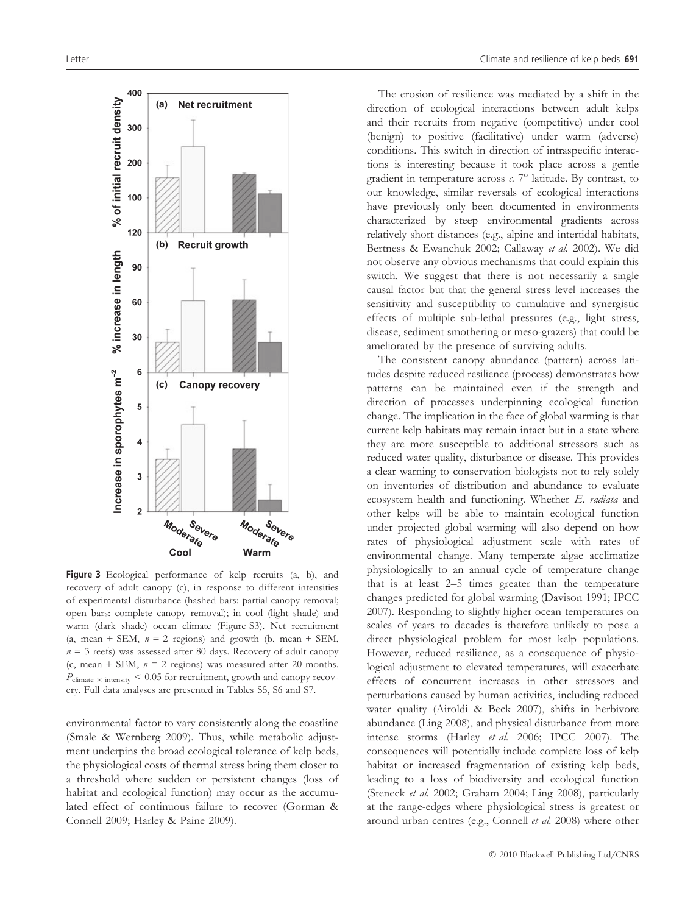

Figure 3 Ecological performance of kelp recruits (a, b), and recovery of adult canopy (c), in response to different intensities of experimental disturbance (hashed bars: partial canopy removal; open bars: complete canopy removal); in cool (light shade) and warm (dark shade) ocean climate (Figure S3). Net recruitment (a, mean + SEM,  $n = 2$  regions) and growth (b, mean + SEM,  $n = 3$  reefs) was assessed after 80 days. Recovery of adult canopy (c, mean + SEM,  $n = 2$  regions) was measured after 20 months.  $P_{\text{climate}} \times \text{intensity}$  < 0.05 for recruitment, growth and canopy recovery. Full data analyses are presented in Tables S5, S6 and S7.

environmental factor to vary consistently along the coastline (Smale & Wernberg 2009). Thus, while metabolic adjustment underpins the broad ecological tolerance of kelp beds, the physiological costs of thermal stress bring them closer to a threshold where sudden or persistent changes (loss of habitat and ecological function) may occur as the accumulated effect of continuous failure to recover (Gorman & Connell 2009; Harley & Paine 2009).

The erosion of resilience was mediated by a shift in the direction of ecological interactions between adult kelps and their recruits from negative (competitive) under cool (benign) to positive (facilitative) under warm (adverse) conditions. This switch in direction of intraspecific interactions is interesting because it took place across a gentle gradient in temperature across  $c$ . 7° latitude. By contrast, to our knowledge, similar reversals of ecological interactions have previously only been documented in environments characterized by steep environmental gradients across relatively short distances (e.g., alpine and intertidal habitats, Bertness & Ewanchuk 2002; Callaway et al. 2002). We did not observe any obvious mechanisms that could explain this switch. We suggest that there is not necessarily a single causal factor but that the general stress level increases the sensitivity and susceptibility to cumulative and synergistic effects of multiple sub-lethal pressures (e.g., light stress, disease, sediment smothering or meso-grazers) that could be ameliorated by the presence of surviving adults.

The consistent canopy abundance (pattern) across latitudes despite reduced resilience (process) demonstrates how patterns can be maintained even if the strength and direction of processes underpinning ecological function change. The implication in the face of global warming is that current kelp habitats may remain intact but in a state where they are more susceptible to additional stressors such as reduced water quality, disturbance or disease. This provides a clear warning to conservation biologists not to rely solely on inventories of distribution and abundance to evaluate ecosystem health and functioning. Whether E. radiata and other kelps will be able to maintain ecological function under projected global warming will also depend on how rates of physiological adjustment scale with rates of environmental change. Many temperate algae acclimatize physiologically to an annual cycle of temperature change that is at least 2–5 times greater than the temperature changes predicted for global warming (Davison 1991; IPCC 2007). Responding to slightly higher ocean temperatures on scales of years to decades is therefore unlikely to pose a direct physiological problem for most kelp populations. However, reduced resilience, as a consequence of physiological adjustment to elevated temperatures, will exacerbate effects of concurrent increases in other stressors and perturbations caused by human activities, including reduced water quality (Airoldi & Beck 2007), shifts in herbivore abundance (Ling 2008), and physical disturbance from more intense storms (Harley et al. 2006; IPCC 2007). The consequences will potentially include complete loss of kelp habitat or increased fragmentation of existing kelp beds, leading to a loss of biodiversity and ecological function (Steneck et al. 2002; Graham 2004; Ling 2008), particularly at the range-edges where physiological stress is greatest or around urban centres (e.g., Connell et al. 2008) where other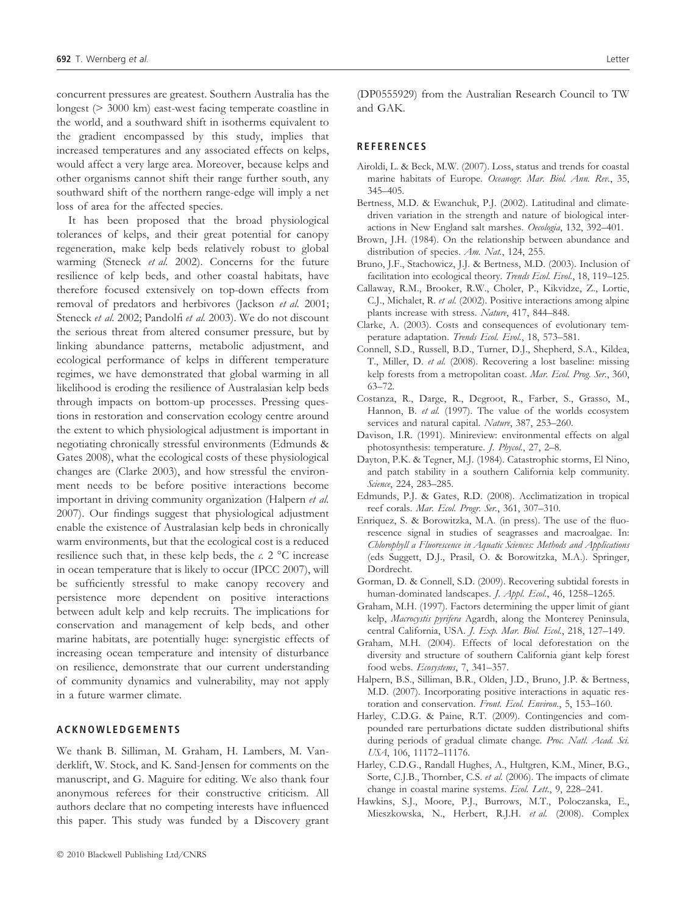concurrent pressures are greatest. Southern Australia has the longest (> 3000 km) east-west facing temperate coastline in the world, and a southward shift in isotherms equivalent to the gradient encompassed by this study, implies that increased temperatures and any associated effects on kelps, would affect a very large area. Moreover, because kelps and other organisms cannot shift their range further south, any southward shift of the northern range-edge will imply a net loss of area for the affected species.

It has been proposed that the broad physiological tolerances of kelps, and their great potential for canopy regeneration, make kelp beds relatively robust to global warming (Steneck et al. 2002). Concerns for the future resilience of kelp beds, and other coastal habitats, have therefore focused extensively on top-down effects from removal of predators and herbivores (Jackson et al. 2001; Steneck et al. 2002; Pandolfi et al. 2003). We do not discount the serious threat from altered consumer pressure, but by linking abundance patterns, metabolic adjustment, and ecological performance of kelps in different temperature regimes, we have demonstrated that global warming in all likelihood is eroding the resilience of Australasian kelp beds through impacts on bottom-up processes. Pressing questions in restoration and conservation ecology centre around the extent to which physiological adjustment is important in negotiating chronically stressful environments (Edmunds & Gates 2008), what the ecological costs of these physiological changes are (Clarke 2003), and how stressful the environment needs to be before positive interactions become important in driving community organization (Halpern et al. 2007). Our findings suggest that physiological adjustment enable the existence of Australasian kelp beds in chronically warm environments, but that the ecological cost is a reduced resilience such that, in these kelp beds, the  $c$ . 2 °C increase in ocean temperature that is likely to occur (IPCC 2007), will be sufficiently stressful to make canopy recovery and persistence more dependent on positive interactions between adult kelp and kelp recruits. The implications for conservation and management of kelp beds, and other marine habitats, are potentially huge: synergistic effects of increasing ocean temperature and intensity of disturbance on resilience, demonstrate that our current understanding of community dynamics and vulnerability, may not apply in a future warmer climate.

## ACKNOWLEDGEMENTS

We thank B. Silliman, M. Graham, H. Lambers, M. Vanderklift, W. Stock, and K. Sand-Jensen for comments on the manuscript, and G. Maguire for editing. We also thank four anonymous referees for their constructive criticism. All authors declare that no competing interests have influenced this paper. This study was funded by a Discovery grant

(DP0555929) from the Australian Research Council to TW and GAK.

#### **REFERENCES**

- Airoldi, L. & Beck, M.W. (2007). Loss, status and trends for coastal marine habitats of Europe. Oceanogr. Mar. Biol. Ann. Rev., 35, 345–405.
- Bertness, M.D. & Ewanchuk, P.J. (2002). Latitudinal and climatedriven variation in the strength and nature of biological interactions in New England salt marshes. Oecologia, 132, 392–401.
- Brown, J.H. (1984). On the relationship between abundance and distribution of species. Am. Nat., 124, 255.
- Bruno, J.F., Stachowicz, J.J. & Bertness, M.D. (2003). Inclusion of facilitation into ecological theory. Trends Ecol. Evol., 18, 119-125.
- Callaway, R.M., Brooker, R.W., Choler, P., Kikvidze, Z., Lortie, C.J., Michalet, R. et al. (2002). Positive interactions among alpine plants increase with stress. Nature, 417, 844–848.
- Clarke, A. (2003). Costs and consequences of evolutionary temperature adaptation. Trends Ecol. Evol., 18, 573-581.
- Connell, S.D., Russell, B.D., Turner, D.J., Shepherd, S.A., Kildea, T., Miller, D. et al. (2008). Recovering a lost baseline: missing kelp forests from a metropolitan coast. Mar. Ecol. Prog. Ser., 360, 63–72.
- Costanza, R., Darge, R., Degroot, R., Farber, S., Grasso, M., Hannon, B. et al. (1997). The value of the worlds ecosystem services and natural capital. Nature, 387, 253–260.
- Davison, I.R. (1991). Minireview: environmental effects on algal photosynthesis: temperature. J. Phycol., 27, 2–8.
- Dayton, P.K. & Tegner, M.J. (1984). Catastrophic storms, El Nino, and patch stability in a southern California kelp community. Science, 224, 283-285.
- Edmunds, P.J. & Gates, R.D. (2008). Acclimatization in tropical reef corals. Mar. Ecol. Progr. Ser., 361, 307–310.
- Enriquez, S. & Borowitzka, M.A. (in press). The use of the fluorescence signal in studies of seagrasses and macroalgae. In: Chlorophyll a Fluorescence in Aquatic Sciences: Methods and Applications (eds Suggett, D.J., Prasil, O. & Borowitzka, M.A.). Springer, Dordrecht.
- Gorman, D. & Connell, S.D. (2009). Recovering subtidal forests in human-dominated landscapes. *J. Appl. Ecol.*, 46, 1258–1265.
- Graham, M.H. (1997). Factors determining the upper limit of giant kelp, Macrocystis pyrifera Agardh, along the Monterey Peninsula, central California, USA. J. Exp. Mar. Biol. Ecol., 218, 127–149.
- Graham, M.H. (2004). Effects of local deforestation on the diversity and structure of southern California giant kelp forest food webs. Ecosystems, 7, 341–357.
- Halpern, B.S., Silliman, B.R., Olden, J.D., Bruno, J.P. & Bertness, M.D. (2007). Incorporating positive interactions in aquatic restoration and conservation. Front. Ecol. Environ., 5, 153–160.
- Harley, C.D.G. & Paine, R.T. (2009). Contingencies and compounded rare perturbations dictate sudden distributional shifts during periods of gradual climate change. Proc. Natl. Acad. Sci. USA, 106, 11172–11176.
- Harley, C.D.G., Randall Hughes, A., Hultgren, K.M., Miner, B.G., Sorte, C.J.B., Thornber, C.S. et al. (2006). The impacts of climate change in coastal marine systems. Ecol. Lett., 9, 228-241.
- Hawkins, S.J., Moore, P.J., Burrows, M.T., Poloczanska, E., Mieszkowska, N., Herbert, R.J.H. et al. (2008). Complex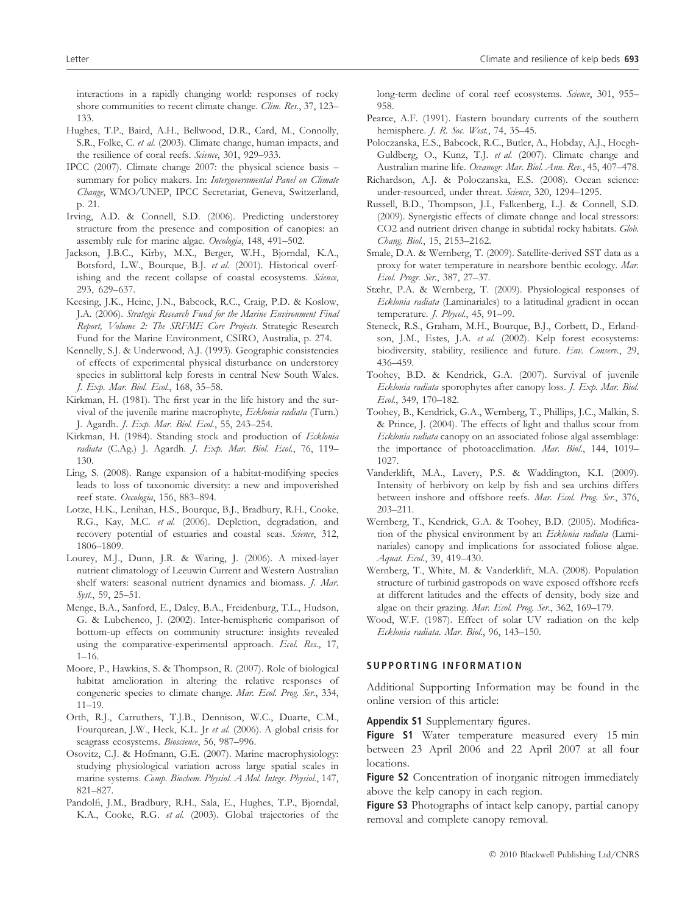interactions in a rapidly changing world: responses of rocky shore communities to recent climate change. Clim. Res., 37, 123– 133.

- Hughes, T.P., Baird, A.H., Bellwood, D.R., Card, M., Connolly, S.R., Folke, C. et al. (2003). Climate change, human impacts, and the resilience of coral reefs. Science, 301, 929–933.
- IPCC (2007). Climate change 2007: the physical science basis summary for policy makers. In: Intergovernmental Panel on Climate Change, WMO/UNEP, IPCC Secretariat, Geneva, Switzerland, p. 21.
- Irving, A.D. & Connell, S.D. (2006). Predicting understorey structure from the presence and composition of canopies: an assembly rule for marine algae. Oecologia, 148, 491–502.
- Jackson, J.B.C., Kirby, M.X., Berger, W.H., Bjorndal, K.A., Botsford, L.W., Bourque, B.J. et al. (2001). Historical overfishing and the recent collapse of coastal ecosystems. Science, 293, 629–637.
- Keesing, J.K., Heine, J.N., Babcock, R.C., Craig, P.D. & Koslow, J.A. (2006). Strategic Research Fund for the Marine Environment Final Report, Volume 2: The SRFME Core Projects. Strategic Research Fund for the Marine Environment, CSIRO, Australia, p. 274.
- Kennelly, S.J. & Underwood, A.J. (1993). Geographic consistencies of effects of experimental physical disturbance on understorey species in sublittoral kelp forests in central New South Wales. J. Exp. Mar. Biol. Ecol., 168, 35–58.
- Kirkman, H. (1981). The first year in the life history and the survival of the juvenile marine macrophyte, Ecklonia radiata (Turn.) J. Agardh. J. Exp. Mar. Biol. Ecol., 55, 243–254.
- Kirkman, H. (1984). Standing stock and production of Ecklonia radiata (C.Ag.) J. Agardh. J. Exp. Mar. Biol. Ecol., 76, 119-130.
- Ling, S. (2008). Range expansion of a habitat-modifying species leads to loss of taxonomic diversity: a new and impoverished reef state. Oecologia, 156, 883–894.
- Lotze, H.K., Lenihan, H.S., Bourque, B.J., Bradbury, R.H., Cooke, R.G., Kay, M.C. et al. (2006). Depletion, degradation, and recovery potential of estuaries and coastal seas. Science, 312, 1806–1809.
- Lourey, M.J., Dunn, J.R. & Waring, J. (2006). A mixed-layer nutrient climatology of Leeuwin Current and Western Australian shelf waters: seasonal nutrient dynamics and biomass. J. Mar. Syst., 59, 25–51.
- Menge, B.A., Sanford, E., Daley, B.A., Freidenburg, T.L., Hudson, G. & Lubchenco, J. (2002). Inter-hemispheric comparison of bottom-up effects on community structure: insights revealed using the comparative-experimental approach. Ecol. Res., 17,  $1 - 16$ .
- Moore, P., Hawkins, S. & Thompson, R. (2007). Role of biological habitat amelioration in altering the relative responses of congeneric species to climate change. Mar. Ecol. Prog. Ser., 334, 11–19.
- Orth, R.J., Carruthers, T.J.B., Dennison, W.C., Duarte, C.M., Fourqurean, J.W., Heck, K.L. Jr et al. (2006). A global crisis for seagrass ecosystems. Bioscience, 56, 987-996.
- Osovitz, C.J. & Hofmann, G.E. (2007). Marine macrophysiology: studying physiological variation across large spatial scales in marine systems. Comp. Biochem. Physiol. A Mol. Integr. Physiol., 147, 821–827.
- Pandolfi, J.M., Bradbury, R.H., Sala, E., Hughes, T.P., Bjorndal, K.A., Cooke, R.G. et al. (2003). Global trajectories of the

long-term decline of coral reef ecosystems. Science, 301, 955– 958.

- Pearce, A.F. (1991). Eastern boundary currents of the southern hemisphere. *J. R. Soc. West.*, 74, 35–45.
- Poloczanska, E.S., Babcock, R.C., Butler, A., Hobday, A.J., Hoegh-Guldberg, O., Kunz, T.J. et al. (2007). Climate change and Australian marine life. Oceanogr. Mar. Biol. Ann. Rev., 45, 407–478.
- Richardson, A.J. & Poloczanska, E.S. (2008). Ocean science: under-resourced, under threat. Science, 320, 1294–1295.
- Russell, B.D., Thompson, J.I., Falkenberg, L.J. & Connell, S.D. (2009). Synergistic effects of climate change and local stressors: CO2 and nutrient driven change in subtidal rocky habitats. Glob. Chang. Biol., 15, 2153–2162.
- Smale, D.A. & Wernberg, T. (2009). Satellite-derived SST data as a proxy for water temperature in nearshore benthic ecology. Mar. Ecol. Progr. Ser., 387, 27–37.
- Stæhr, P.A. & Wernberg, T. (2009). Physiological responses of Ecklonia radiata (Laminariales) to a latitudinal gradient in ocean temperature. J. Phycol., 45, 91–99.
- Steneck, R.S., Graham, M.H., Bourque, B.J., Corbett, D., Erlandson, J.M., Estes, J.A. et al. (2002). Kelp forest ecosystems: biodiversity, stability, resilience and future. Env. Conserv., 29, 436–459.
- Toohey, B.D. & Kendrick, G.A. (2007). Survival of juvenile Ecklonia radiata sporophytes after canopy loss. J. Exp. Mar. Biol. Ecol., 349, 170–182.
- Toohey, B., Kendrick, G.A., Wernberg, T., Phillips, J.C., Malkin, S. & Prince, J. (2004). The effects of light and thallus scour from Ecklonia radiata canopy on an associated foliose algal assemblage: the importance of photoacclimation. Mar. Biol., 144, 1019-1027.
- Vanderklift, M.A., Lavery, P.S. & Waddington, K.I. (2009). Intensity of herbivory on kelp by fish and sea urchins differs between inshore and offshore reefs. Mar. Ecol. Prog. Ser., 376, 203–211.
- Wernberg, T., Kendrick, G.A. & Toohey, B.D. (2005). Modification of the physical environment by an Ecklonia radiata (Laminariales) canopy and implications for associated foliose algae. Aquat. Ecol., 39, 419–430.
- Wernberg, T., White, M. & Vanderklift, M.A. (2008). Population structure of turbinid gastropods on wave exposed offshore reefs at different latitudes and the effects of density, body size and algae on their grazing. Mar. Ecol. Prog. Ser., 362, 169-179.
- Wood, W.F. (1987). Effect of solar UV radiation on the kelp Ecklonia radiata. Mar. Biol., 96, 143–150.

#### SUPPORTING INFORMATION

Additional Supporting Information may be found in the online version of this article:

Appendix S1 Supplementary figures.

Figure S1 Water temperature measured every 15 min between 23 April 2006 and 22 April 2007 at all four locations.

Figure S2 Concentration of inorganic nitrogen immediately above the kelp canopy in each region.

Figure S3 Photographs of intact kelp canopy, partial canopy removal and complete canopy removal.